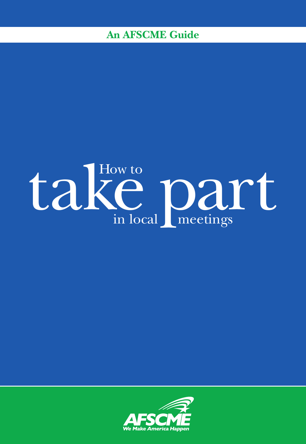# **An AFSCME Guide**



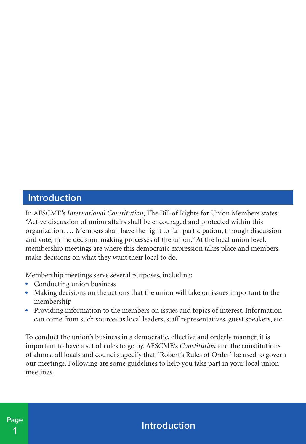#### **Introduction**

In AFSCME's *International Constitution*, The Bill of Rights for Union Members states: "Active discussion of union affairs shall be encouraged and protected within this organization. … Members shall have the right to full participation, through discussion and vote, in the decision-making processes of the union." At the local union level, membership meetings are where this democratic expression takes place and members make decisions on what they want their local to do.

Membership meetings serve several purposes, including:

- Conducting union business
- Making decisions on the actions that the union will take on issues important to the membership
- Providing information to the members on issues and topics of interest. Information can come from such sources as local leaders, staff representatives, guest speakers, etc.

To conduct the union's business in a democratic, effective and orderly manner, it is important to have a set of rules to go by. AFSCME's *Constitution* and the constitutions of almost all locals and councils specify that "Robert's Rules of Order" be used to govern our meetings. Following are some guidelines to help you take part in your local union meetings.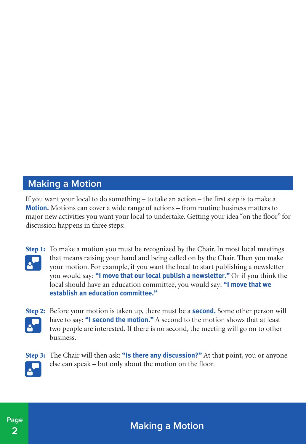### **Making a Motion**

If you want your local to do something – to take an action – the first step is to make a **Motion.** Motions can cover a wide range of actions – from routine business matters to major new activities you want your local to undertake. Getting your idea "on the floor" for discussion happens in three steps:



**Step 1:** To make a motion you must be recognized by the Chair. In most local meetings that means raising your hand and being called on by the Chair. Then you make your motion. For example, if you want the local to start publishing a newsletter you would say: **"I move that our local publish a newsletter."** Or if you think the local should have an education committee, you would say: **"I move that we establish an education committee."**



Step 2: Before your motion is taken up, there must be a **second.** Some other person will have to say: **"I second the motion."** A second to the motion shows that at least two people are interested. If there is no second, the meeting will go on to other business.



**Page**

Step 3: The Chair will then ask: **"Is there any discussion?"** At that point, you or anyone else can speak – but only about the motion on the floor.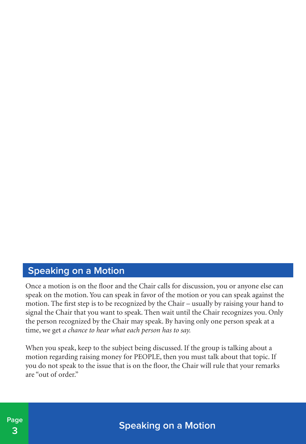#### **Speaking on a Motion**

Once a motion is on the floor and the Chair calls for discussion, you or anyone else can speak on the motion. You can speak in favor of the motion or you can speak against the motion. The first step is to be recognized by the Chair – usually by raising your hand to signal the Chair that you want to speak. Then wait until the Chair recognizes you. Only the person recognized by the Chair may speak. By having only one person speak at a time, we get *a chance to hear what each person has to say.*

When you speak, keep to the subject being discussed. If the group is talking about a motion regarding raising money for PEOPLE, then you must talk about that topic. If you do not speak to the issue that is on the floor, the Chair will rule that your remarks are "out of order."



**Speaking on a Motion**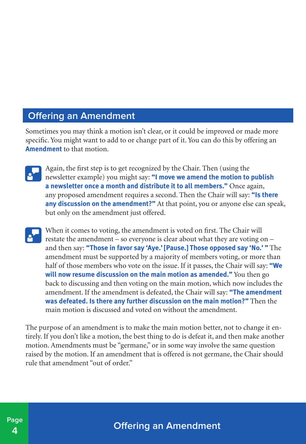### **Offering an Amendment**

Sometimes you may think a motion isn't clear, or it could be improved or made more specific. You might want to add to or change part of it. You can do this by offering an **Amendment** to that motion.

- Again, the first step is to get recognized by the Chair. Then (using the  $\mathbf{e}^{\mathbf{y}}$ newsletter example) you might say: **"I move we amend the motion to publish a newsletter once a month and distribute it to all members."** Once again, any proposed amendment requires a second. Then the Chair will say: **"Is there any discussion on the amendment?"** At that point, you or anyone else can speak, but only on the amendment just offered.
- When it comes to voting, the amendment is voted on first. The Chair will restate the amendment – so everyone is clear about what they are voting on – and then say: **"Those in favor say 'Aye.' [Pause.] Those opposed say 'No.' "** The amendment must be supported by a majority of members voting, or more than half of those members who vote on the issue. If it passes, the Chair will say: **"We will now resume discussion on the main motion as amended."** You then go back to discussing and then voting on the main motion, which now includes the amendment. If the amendment is defeated, the Chair will say: **"The amendment was defeated. Is there any further discussion on the main motion?"** Then the main motion is discussed and voted on without the amendment.

The purpose of an amendment is to make the main motion better, not to change it entirely. If you don't like a motion, the best thing to do is defeat it, and then make another motion. Amendments must be "germane," or in some way involve the same question raised by the motion. If an amendment that is offered is not germane, the Chair should rule that amendment "out of order."

**Offering an Amendment**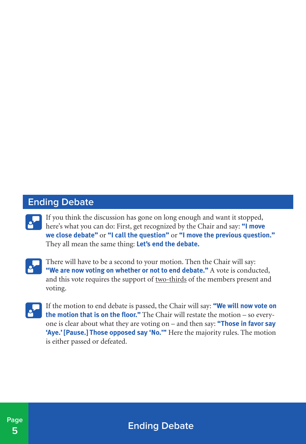### **Ending Debate**



If you think the discussion has gone on long enough and want it stopped, here's what you can do: First, get recognized by the Chair and say: **"I move we close debate"** or **"I call the question"** or **"I move the previous question."** They all mean the same thing: **Let's end the debate.**



There will have to be a second to your motion. Then the Chair will say: **"We are now voting on whether or not to end debate."** A vote is conducted, and this vote requires the support of two-thirds of the members present and voting.



If the motion to end debate is passed, the Chair will say: **"We will now vote on the motion that is on the floor."** The Chair will restate the motion – so everyone is clear about what they are voting on – and then say: **"Those in favor say 'Aye.' [Pause.] Those opposed say 'No.'"** Here the majority rules. The motion is either passed or defeated.

**Ending Debate**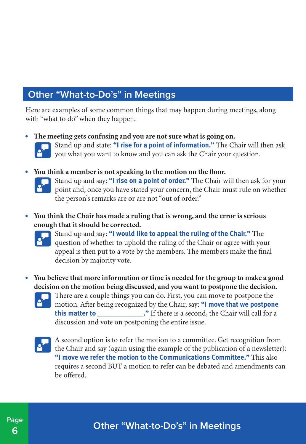### **Other "What-to-Do's" in Meetings**

Here are examples of some common things that may happen during meetings, along with "what to do" when they happen.

• **The meeting gets confusing and you are not sure what is going on.**



**Stand up and state: "I rise for a point of information."** The Chair will then ask you what you want to know and you can ask the Chair your question.

• **You think a member is not speaking to the motion on the floor.**



Stand up and say: **"I rise on a point of order."** The Chair will then ask for your point and, once you have stated your concern, the Chair must rule on whether the person's remarks are or are not "out of order."

• **You think the Chair has made a ruling that is wrong, and the error is serious enough that it should be corrected.**



Stand up and say: **"I would like to appeal the ruling of the Chair."** The question of whether to uphold the ruling of the Chair or agree with your appeal is then put to a vote by the members. The members make the final decision by majority vote.

- **You believe that more information or time is needed for the group to make a good decision on the motion being discussed, and you want to postpone the decision.**
	-

There are a couple things you can do. First, you can move to postpone the motion. After being recognized by the Chair, say: **"I move that we postpone this matter to**  $\cdot$  **'** If there is a second, the Chair will call for a discussion and vote on postponing the entire issue.



A second option is to refer the motion to a committee. Get recognition from the Chair and say (again using the example of the publication of a newsletter): **"I move we refer the motion to the Communications Committee."** This also requires a second BUT a motion to refer can be debated and amendments can be offered.

# **Other "What-to-Do's" in Meetings**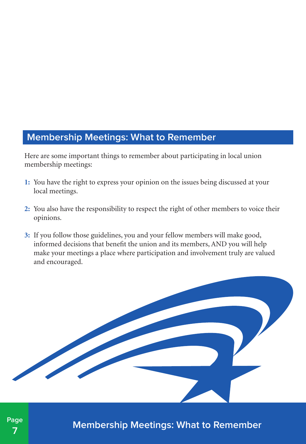#### **Membership Meetings: What to Remember**

Here are some important things to remember about participating in local union membership meetings:

- **1:** You have the right to express your opinion on the issues being discussed at your local meetings.
- **2:** You also have the responsibility to respect the right of other members to voice their opinions.
- **3:** If you follow those guidelines, you and your fellow members will make good, informed decisions that benefit the union and its members, AND you will help make your meetings a place where participation and involvement truly are valued and encouraged.



**Membership Meetings: What to Remember**

**Page 7**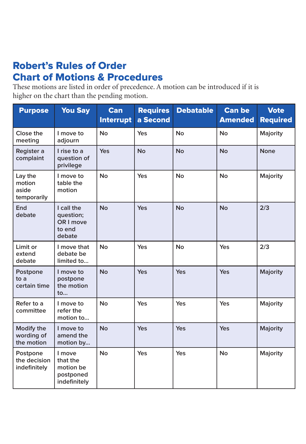# Robert's Rules of Order Chart of Motions & Procedures

These motions are listed in order of precedence. A motion can be introduced if it is higher on the chart than the pending motion.

| <b>Purpose</b>                            | <b>You Say</b>                                               | Can<br><b>Interrupt</b> | <b>Requires</b><br>a Second | <b>Debatable</b> | <b>Can be</b><br><b>Amended</b> | <b>Vote</b><br><b>Required</b> |
|-------------------------------------------|--------------------------------------------------------------|-------------------------|-----------------------------|------------------|---------------------------------|--------------------------------|
| Close the<br>meeting                      | I move to<br>adjourn                                         | <b>No</b>               | Yes                         | <b>No</b>        | <b>No</b>                       | Majority                       |
| Register a<br>complaint                   | I rise to a<br>question of<br>privilege                      | Yes                     | <b>No</b>                   | <b>No</b>        | <b>No</b>                       | None                           |
| Lay the<br>motion<br>aside<br>temporarily | I move to<br>table the<br>motion                             | <b>No</b>               | Yes                         | <b>No</b>        | <b>No</b>                       | Majority                       |
| End<br>debate                             | I call the<br>question;<br>OR I move<br>to end<br>debate     | <b>No</b>               | Yes                         | <b>No</b>        | <b>No</b>                       | 2/3                            |
| Limit or<br>extend<br>debate              | I move that<br>debate be<br>limited to                       | <b>No</b>               | Yes                         | <b>No</b>        | Yes                             | 2/3                            |
| Postpone<br>to a<br>certain time          | I move to<br>postpone<br>the motion<br>to                    | <b>No</b>               | Yes                         | Yes              | Yes                             | Majority                       |
| Refer to a<br>committee                   | I move to<br>refer the<br>motion to                          | <b>No</b>               | Yes                         | Yes              | Yes                             | Majority                       |
| Modify the<br>wording of<br>the motion    | I move to<br>amend the<br>motion by                          | <b>No</b>               | Yes                         | Yes              | Yes                             | Majority                       |
| Postpone<br>the decision<br>indefinitely  | I move<br>that the<br>motion be<br>postponed<br>indefinitely | <b>No</b>               | Yes                         | Yes              | <b>No</b>                       | Majority                       |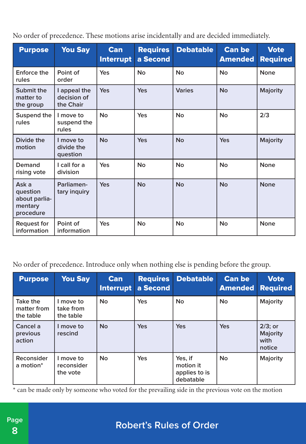No order of precedence. These motions arise incidentally and are decided immediately.

| <b>Purpose</b>                                             | <b>You Say</b>                           | <b>Can</b><br><b>Interrupt</b> | <b>Requires</b><br>a Second | <b>Debatable</b> | <b>Can be</b><br><b>Amended</b> | <b>Vote</b><br><b>Required</b> |
|------------------------------------------------------------|------------------------------------------|--------------------------------|-----------------------------|------------------|---------------------------------|--------------------------------|
| Enforce the<br>rules                                       | Point of<br>order                        | Yes                            | No                          | No               | No                              | None                           |
| Submit the<br>matter to<br>the group                       | I appeal the<br>decision of<br>the Chair | Yes                            | Yes                         | <b>Varies</b>    | <b>No</b>                       | <b>Majority</b>                |
| Suspend the<br>rules                                       | I move to<br>suspend the<br>rules        | No                             | Yes                         | No               | <b>No</b>                       | 2/3                            |
| Divide the<br>motion                                       | I move to<br>divide the<br>question      | <b>No</b>                      | Yes                         | <b>No</b>        | Yes                             | Majority                       |
| Demand<br>rising vote                                      | Lcall for a<br>division                  | Yes                            | No                          | No               | No                              | None                           |
| Ask a<br>question<br>about parlia-<br>mentary<br>procedure | Parliamen-<br>tary inquiry               | Yes                            | <b>No</b>                   | <b>No</b>        | <b>No</b>                       | <b>None</b>                    |
| Request for<br>information                                 | Point of<br>information                  | Yes                            | No                          | No               | <b>No</b>                       | None                           |

No order of precedence. Introduce only when nothing else is pending before the group.

| <b>Purpose</b>                       | <b>You Say</b>                      | Can<br><b>Interrupt</b> | <b>Requires</b><br>a Second | <b>Debatable</b>                                   | <b>Can be</b><br><b>Amended</b> | <b>Vote</b><br><b>Required</b>                  |
|--------------------------------------|-------------------------------------|-------------------------|-----------------------------|----------------------------------------------------|---------------------------------|-------------------------------------------------|
| Take the<br>matter from<br>the table | I move to<br>take from<br>the table | <b>No</b>               | Yes                         | <b>No</b>                                          | <b>No</b>                       | Majority                                        |
| Cancel a<br>previous<br>action       | I move to<br>rescind                | <b>No</b>               | <b>Yes</b>                  | <b>Yes</b>                                         | Yes                             | $2/3$ ; or<br><b>Majority</b><br>with<br>notice |
| Reconsider<br>a motion*              | I move to<br>reconsider<br>the vote | <b>No</b>               | Yes                         | Yes, if<br>motion it<br>applies to is<br>debatable | <b>No</b>                       | Majority                                        |

\* can be made only by someone who voted for the prevailing side in the previous vote on the motion

# **Robert's Rules of Order**